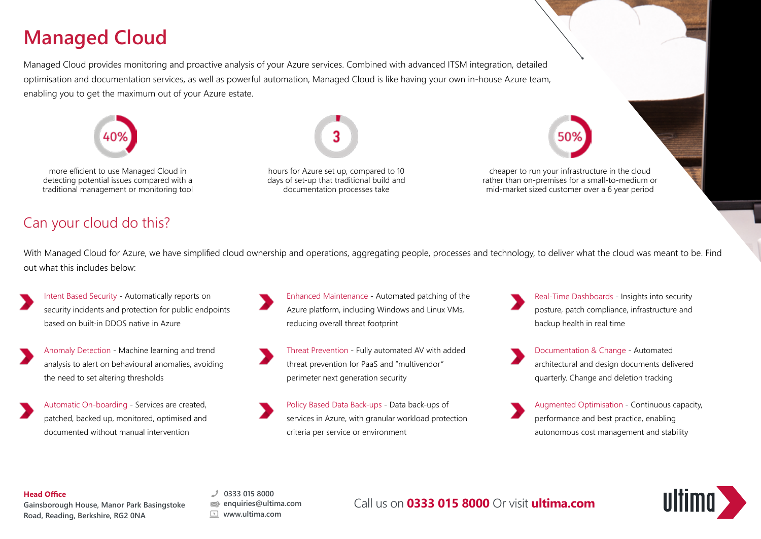# **Managed Cloud**

Managed Cloud provides monitoring and proactive analysis of your Azure services. Combined with advanced ITSM integration, detailed optimisation and documentation services, as well as powerful automation, Managed Cloud is like having your own in-house Azure team, enabling you to get the maximum out of your Azure estate.



# Can your cloud do this?

With Managed Cloud for Azure, we have simplified cloud ownership and operations, aggregating people, processes and technology, to deliver what the cloud was meant to be. Find out what this includes below:

- Intent Based Security Automatically reports on security incidents and protection for public endpoints based on built-in DDOS native in Azure
- Anomaly Detection Machine learning and trend analysis to alert on behavioural anomalies, avoiding the need to set altering thresholds
- Automatic On-boarding Services are created, patched, backed up, monitored, optimised and documented without manual intervention
- Enhanced Maintenance Automated patching of the Azure platform, including Windows and Linux VMs, reducing overall threat footprint
- Threat Prevention Fully automated AV with added threat prevention for PaaS and "multivendor" perimeter next generation security
- Policy Based Data Back-ups Data back-ups of services in Azure, with granular workload protection criteria per service or environment
- Real-Time Dashboards Insights into security posture, patch compliance, infrastructure and backup health in real time
- Documentation & Change Automated architectural and design documents delivered quarterly. Change and deletion tracking
- Augmented Optimisation Continuous capacity, performance and best practice, enabling autonomous cost management and stability

#### **Head Office**

**Gainsborough House, Manor Park Basingstoke Road, Reading, Berkshire, RG2 0NA**

**0333 015 8000 enquiries@ultima.com www.ultima.com**

Call us on **0333 015 8000** Or visit **ultima.com**